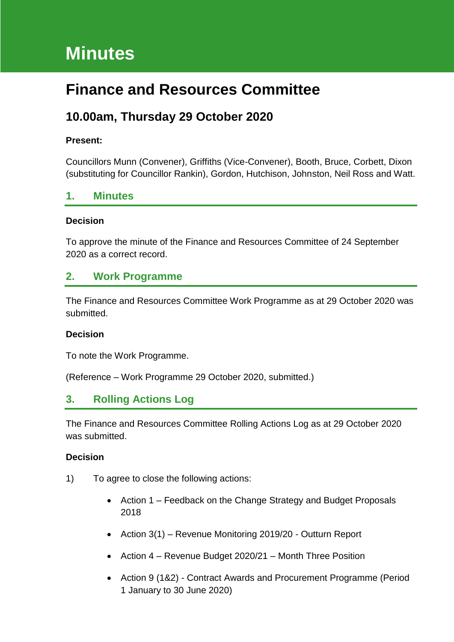# **Minutes**

# **Finance and Resources Committee**

# **10.00am, Thursday 29 October 2020**

### **Present:**

Councillors Munn (Convener), Griffiths (Vice-Convener), Booth, Bruce, Corbett, Dixon (substituting for Councillor Rankin), Gordon, Hutchison, Johnston, Neil Ross and Watt.

# **1. Minutes**

#### **Decision**

To approve the minute of the Finance and Resources Committee of 24 September 2020 as a correct record.

## **2. Work Programme**

The Finance and Resources Committee Work Programme as at 29 October 2020 was submitted.

#### **Decision**

To note the Work Programme.

(Reference – Work Programme 29 October 2020, submitted.)

# **3. Rolling Actions Log**

The Finance and Resources Committee Rolling Actions Log as at 29 October 2020 was submitted.

#### **Decision**

- 1) To agree to close the following actions:
	- Action 1 Feedback on the Change Strategy and Budget Proposals 2018
	- Action 3(1) Revenue Monitoring 2019/20 Outturn Report
	- Action 4 Revenue Budget 2020/21 Month Three Position
	- Action 9 (1&2) Contract Awards and Procurement Programme (Period 1 January to 30 June 2020)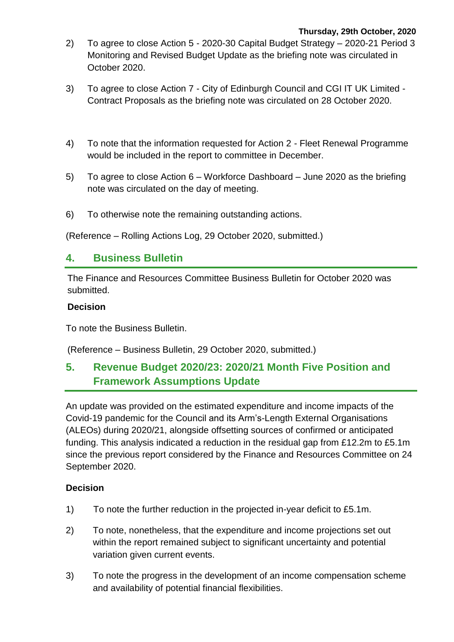- 2) To agree to close Action 5 2020-30 Capital Budget Strategy 2020-21 Period 3 Monitoring and Revised Budget Update as the briefing note was circulated in October 2020.
- 3) To agree to close Action 7 City of Edinburgh Council and CGI IT UK Limited Contract Proposals as the briefing note was circulated on 28 October 2020.
- 4) To note that the information requested for Action 2 Fleet Renewal Programme would be included in the report to committee in December.
- 5) To agree to close Action 6 Workforce Dashboard June 2020 as the briefing note was circulated on the day of meeting.
- 6) To otherwise note the remaining outstanding actions.

(Reference – Rolling Actions Log, 29 October 2020, submitted.)

# **4. Business Bulletin**

The Finance and Resources Committee Business Bulletin for October 2020 was submitted.

#### **Decision**

To note the Business Bulletin.

(Reference – Business Bulletin, 29 October 2020, submitted.)

# **5. Revenue Budget 2020/23: 2020/21 Month Five Position and Framework Assumptions Update**

An update was provided on the estimated expenditure and income impacts of the Covid-19 pandemic for the Council and its Arm's-Length External Organisations (ALEOs) during 2020/21, alongside offsetting sources of confirmed or anticipated funding. This analysis indicated a reduction in the residual gap from £12.2m to £5.1m since the previous report considered by the Finance and Resources Committee on 24 September 2020.

### **Decision**

- 1) To note the further reduction in the projected in-year deficit to £5.1m.
- 2) To note, nonetheless, that the expenditure and income projections set out within the report remained subject to significant uncertainty and potential variation given current events.
- 3) To note the progress in the development of an income compensation scheme and availability of potential financial flexibilities.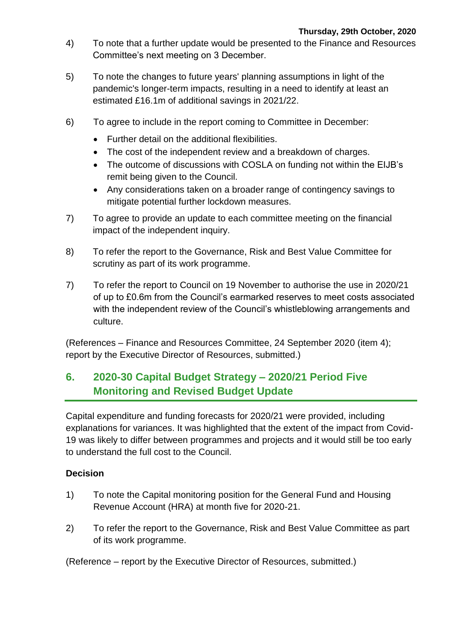- 4) To note that a further update would be presented to the Finance and Resources Committee's next meeting on 3 December.
- 5) To note the changes to future years' planning assumptions in light of the pandemic's longer-term impacts, resulting in a need to identify at least an estimated £16.1m of additional savings in 2021/22.
- 6) To agree to include in the report coming to Committee in December:
	- Further detail on the additional flexibilities.
	- The cost of the independent review and a breakdown of charges.
	- The outcome of discussions with COSLA on funding not within the EIJB's remit being given to the Council.
	- Any considerations taken on a broader range of contingency savings to mitigate potential further lockdown measures.
- 7) To agree to provide an update to each committee meeting on the financial impact of the independent inquiry.
- 8) To refer the report to the Governance, Risk and Best Value Committee for scrutiny as part of its work programme.
- 7) To refer the report to Council on 19 November to authorise the use in 2020/21 of up to £0.6m from the Council's earmarked reserves to meet costs associated with the independent review of the Council's whistleblowing arrangements and culture.

(References – Finance and Resources Committee, 24 September 2020 (item 4); report by the Executive Director of Resources, submitted.)

# **6. 2020-30 Capital Budget Strategy – 2020/21 Period Five Monitoring and Revised Budget Update**

Capital expenditure and funding forecasts for 2020/21 were provided, including explanations for variances. It was highlighted that the extent of the impact from Covid-19 was likely to differ between programmes and projects and it would still be too early to understand the full cost to the Council.

### **Decision**

- 1) To note the Capital monitoring position for the General Fund and Housing Revenue Account (HRA) at month five for 2020-21.
- 2) To refer the report to the Governance, Risk and Best Value Committee as part of its work programme.

(Reference – report by the Executive Director of Resources, submitted.)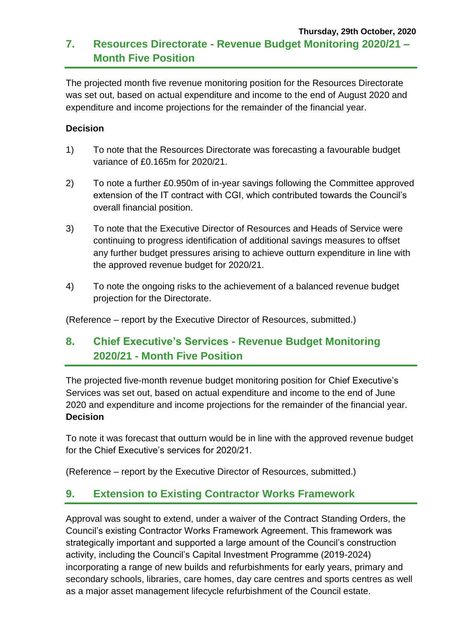### **Thursday, 29th October, 2020 7. Resources Directorate - Revenue Budget Monitoring 2020/21 – Month Five Position**

The projected month five revenue monitoring position for the Resources Directorate was set out, based on actual expenditure and income to the end of August 2020 and expenditure and income projections for the remainder of the financial year.

### **Decision**

- 1) To note that the Resources Directorate was forecasting a favourable budget variance of £0.165m for 2020/21.
- 2) To note a further £0.950m of in-year savings following the Committee approved extension of the IT contract with CGI, which contributed towards the Council's overall financial position.
- 3) To note that the Executive Director of Resources and Heads of Service were continuing to progress identification of additional savings measures to offset any further budget pressures arising to achieve outturn expenditure in line with the approved revenue budget for 2020/21.
- 4) To note the ongoing risks to the achievement of a balanced revenue budget projection for the Directorate.

(Reference – report by the Executive Director of Resources, submitted.)

# **8. Chief Executive's Services - Revenue Budget Monitoring 2020/21 - Month Five Position**

The projected five-month revenue budget monitoring position for Chief Executive's Services was set out, based on actual expenditure and income to the end of June 2020 and expenditure and income projections for the remainder of the financial year. **Decision**

To note it was forecast that outturn would be in line with the approved revenue budget for the Chief Executive's services for 2020/21.

(Reference – report by the Executive Director of Resources, submitted.)

# **9. Extension to Existing Contractor Works Framework**

Approval was sought to extend, under a waiver of the Contract Standing Orders, the Council's existing Contractor Works Framework Agreement. This framework was strategically important and supported a large amount of the Council's construction activity, including the Council's Capital Investment Programme (2019-2024) incorporating a range of new builds and refurbishments for early years, primary and secondary schools, libraries, care homes, day care centres and sports centres as well as a major asset management lifecycle refurbishment of the Council estate.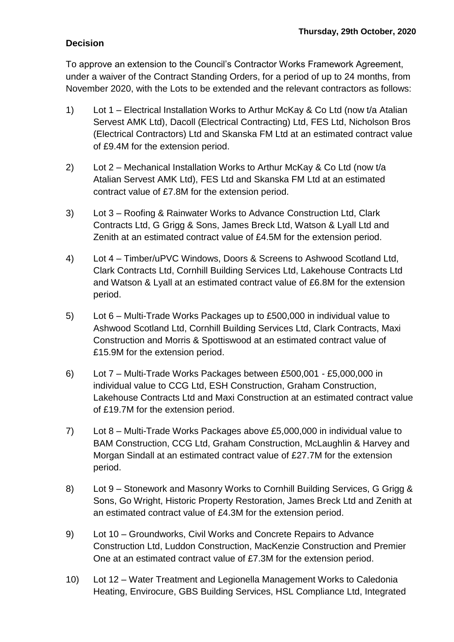# **Decision**

To approve an extension to the Council's Contractor Works Framework Agreement, under a waiver of the Contract Standing Orders, for a period of up to 24 months, from November 2020, with the Lots to be extended and the relevant contractors as follows:

- 1) Lot 1 Electrical Installation Works to Arthur McKay & Co Ltd (now t/a Atalian Servest AMK Ltd), Dacoll (Electrical Contracting) Ltd, FES Ltd, Nicholson Bros (Electrical Contractors) Ltd and Skanska FM Ltd at an estimated contract value of £9.4M for the extension period.
- 2) Lot 2 Mechanical Installation Works to Arthur McKay & Co Ltd (now t/a Atalian Servest AMK Ltd), FES Ltd and Skanska FM Ltd at an estimated contract value of £7.8M for the extension period.
- 3) Lot 3 Roofing & Rainwater Works to Advance Construction Ltd, Clark Contracts Ltd, G Grigg & Sons, James Breck Ltd, Watson & Lyall Ltd and Zenith at an estimated contract value of £4.5M for the extension period.
- 4) Lot 4 Timber/uPVC Windows, Doors & Screens to Ashwood Scotland Ltd, Clark Contracts Ltd, Cornhill Building Services Ltd, Lakehouse Contracts Ltd and Watson & Lyall at an estimated contract value of £6.8M for the extension period.
- 5) Lot 6 Multi-Trade Works Packages up to £500,000 in individual value to Ashwood Scotland Ltd, Cornhill Building Services Ltd, Clark Contracts, Maxi Construction and Morris & Spottiswood at an estimated contract value of £15.9M for the extension period.
- 6) Lot 7 Multi-Trade Works Packages between £500,001 £5,000,000 in individual value to CCG Ltd, ESH Construction, Graham Construction, Lakehouse Contracts Ltd and Maxi Construction at an estimated contract value of £19.7M for the extension period.
- 7) Lot 8 Multi-Trade Works Packages above £5,000,000 in individual value to BAM Construction, CCG Ltd, Graham Construction, McLaughlin & Harvey and Morgan Sindall at an estimated contract value of £27.7M for the extension period.
- 8) Lot 9 Stonework and Masonry Works to Cornhill Building Services, G Grigg & Sons, Go Wright, Historic Property Restoration, James Breck Ltd and Zenith at an estimated contract value of £4.3M for the extension period.
- 9) Lot 10 Groundworks, Civil Works and Concrete Repairs to Advance Construction Ltd, Luddon Construction, MacKenzie Construction and Premier One at an estimated contract value of £7.3M for the extension period.
- 10) Lot 12 Water Treatment and Legionella Management Works to Caledonia Heating, Envirocure, GBS Building Services, HSL Compliance Ltd, Integrated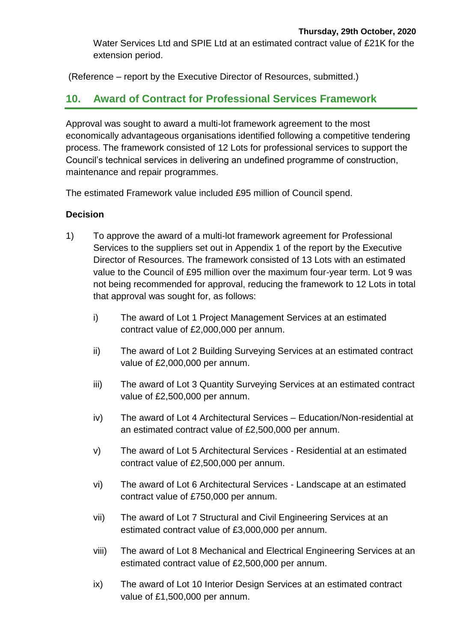Water Services Ltd and SPIE Ltd at an estimated contract value of £21K for the extension period.

(Reference – report by the Executive Director of Resources, submitted.)

# **10. Award of Contract for Professional Services Framework**

Approval was sought to award a multi-lot framework agreement to the most economically advantageous organisations identified following a competitive tendering process. The framework consisted of 12 Lots for professional services to support the Council's technical services in delivering an undefined programme of construction, maintenance and repair programmes.

The estimated Framework value included £95 million of Council spend.

### **Decision**

- 1) To approve the award of a multi-lot framework agreement for Professional Services to the suppliers set out in Appendix 1 of the report by the Executive Director of Resources. The framework consisted of 13 Lots with an estimated value to the Council of £95 million over the maximum four-year term. Lot 9 was not being recommended for approval, reducing the framework to 12 Lots in total that approval was sought for, as follows:
	- i) The award of Lot 1 Project Management Services at an estimated contract value of £2,000,000 per annum.
	- ii) The award of Lot 2 Building Surveying Services at an estimated contract value of £2,000,000 per annum.
	- iii) The award of Lot 3 Quantity Surveying Services at an estimated contract value of £2,500,000 per annum.
	- iv) The award of Lot 4 Architectural Services Education/Non-residential at an estimated contract value of £2,500,000 per annum.
	- v) The award of Lot 5 Architectural Services Residential at an estimated contract value of £2,500,000 per annum.
	- vi) The award of Lot 6 Architectural Services Landscape at an estimated contract value of £750,000 per annum.
	- vii) The award of Lot 7 Structural and Civil Engineering Services at an estimated contract value of £3,000,000 per annum.
	- viii) The award of Lot 8 Mechanical and Electrical Engineering Services at an estimated contract value of £2,500,000 per annum.
	- ix) The award of Lot 10 Interior Design Services at an estimated contract value of £1,500,000 per annum.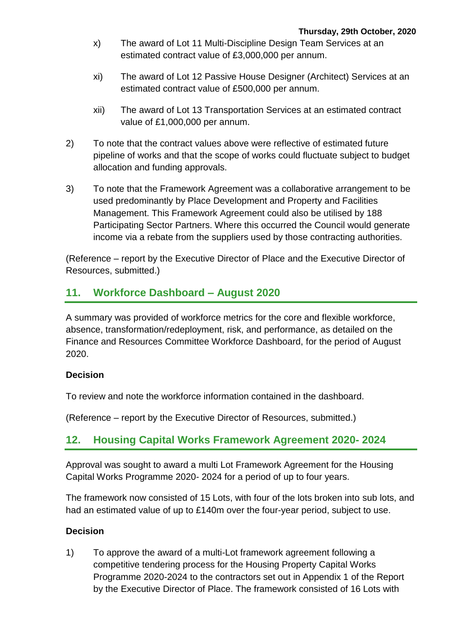- x) The award of Lot 11 Multi-Discipline Design Team Services at an estimated contract value of £3,000,000 per annum.
- xi) The award of Lot 12 Passive House Designer (Architect) Services at an estimated contract value of £500,000 per annum.
- xii) The award of Lot 13 Transportation Services at an estimated contract value of £1,000,000 per annum.
- 2) To note that the contract values above were reflective of estimated future pipeline of works and that the scope of works could fluctuate subject to budget allocation and funding approvals.
- 3) To note that the Framework Agreement was a collaborative arrangement to be used predominantly by Place Development and Property and Facilities Management. This Framework Agreement could also be utilised by 188 Participating Sector Partners. Where this occurred the Council would generate income via a rebate from the suppliers used by those contracting authorities.

(Reference – report by the Executive Director of Place and the Executive Director of Resources, submitted.)

# **11. Workforce Dashboard – August 2020**

A summary was provided of workforce metrics for the core and flexible workforce, absence, transformation/redeployment, risk, and performance, as detailed on the Finance and Resources Committee Workforce Dashboard, for the period of August 2020.

### **Decision**

To review and note the workforce information contained in the dashboard.

(Reference – report by the Executive Director of Resources, submitted.)

# **12. Housing Capital Works Framework Agreement 2020- 2024**

Approval was sought to award a multi Lot Framework Agreement for the Housing Capital Works Programme 2020- 2024 for a period of up to four years.

The framework now consisted of 15 Lots, with four of the lots broken into sub lots, and had an estimated value of up to £140m over the four-year period, subject to use.

### **Decision**

1) To approve the award of a multi-Lot framework agreement following a competitive tendering process for the Housing Property Capital Works Programme 2020-2024 to the contractors set out in Appendix 1 of the Report by the Executive Director of Place. The framework consisted of 16 Lots with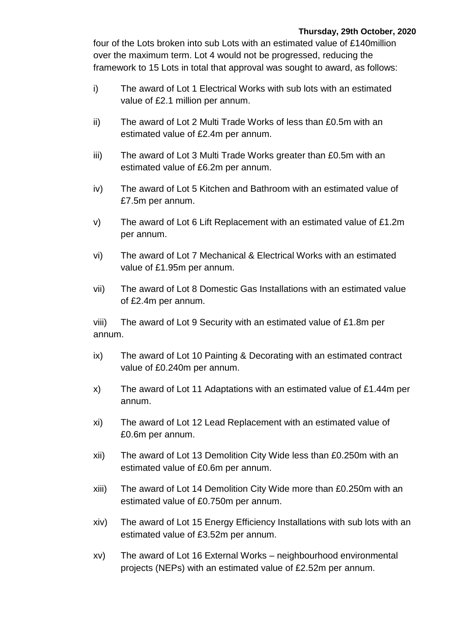#### **Thursday, 29th October, 2020**

four of the Lots broken into sub Lots with an estimated value of £140million over the maximum term. Lot 4 would not be progressed, reducing the framework to 15 Lots in total that approval was sought to award, as follows:

- i) The award of Lot 1 Electrical Works with sub lots with an estimated value of £2.1 million per annum.
- ii) The award of Lot 2 Multi Trade Works of less than £0.5m with an estimated value of £2.4m per annum.
- iii) The award of Lot 3 Multi Trade Works greater than £0.5m with an estimated value of £6.2m per annum.
- iv) The award of Lot 5 Kitchen and Bathroom with an estimated value of £7.5m per annum.
- v) The award of Lot 6 Lift Replacement with an estimated value of £1.2m per annum.
- vi) The award of Lot 7 Mechanical & Electrical Works with an estimated value of £1.95m per annum.
- vii) The award of Lot 8 Domestic Gas Installations with an estimated value of £2.4m per annum.

viii) The award of Lot 9 Security with an estimated value of £1.8m per annum.

- ix) The award of Lot 10 Painting & Decorating with an estimated contract value of £0.240m per annum.
- x) The award of Lot 11 Adaptations with an estimated value of £1.44m per annum.
- xi) The award of Lot 12 Lead Replacement with an estimated value of £0.6m per annum.
- xii) The award of Lot 13 Demolition City Wide less than £0.250m with an estimated value of £0.6m per annum.
- xiii) The award of Lot 14 Demolition City Wide more than £0.250m with an estimated value of £0.750m per annum.
- xiv) The award of Lot 15 Energy Efficiency Installations with sub lots with an estimated value of £3.52m per annum.
- xv) The award of Lot 16 External Works neighbourhood environmental projects (NEPs) with an estimated value of £2.52m per annum.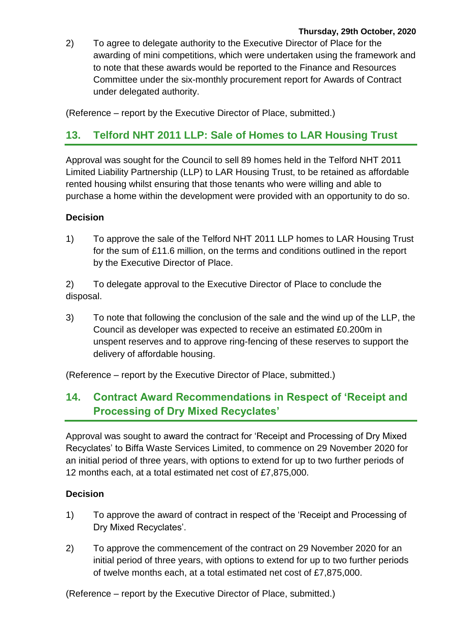2) To agree to delegate authority to the Executive Director of Place for the awarding of mini competitions, which were undertaken using the framework and to note that these awards would be reported to the Finance and Resources Committee under the six-monthly procurement report for Awards of Contract under delegated authority.

(Reference – report by the Executive Director of Place, submitted.)

# **13. Telford NHT 2011 LLP: Sale of Homes to LAR Housing Trust**

Approval was sought for the Council to sell 89 homes held in the Telford NHT 2011 Limited Liability Partnership (LLP) to LAR Housing Trust, to be retained as affordable rented housing whilst ensuring that those tenants who were willing and able to purchase a home within the development were provided with an opportunity to do so.

### **Decision**

1) To approve the sale of the Telford NHT 2011 LLP homes to LAR Housing Trust for the sum of £11.6 million, on the terms and conditions outlined in the report by the Executive Director of Place.

2) To delegate approval to the Executive Director of Place to conclude the disposal.

3) To note that following the conclusion of the sale and the wind up of the LLP, the Council as developer was expected to receive an estimated £0.200m in unspent reserves and to approve ring-fencing of these reserves to support the delivery of affordable housing.

(Reference – report by the Executive Director of Place, submitted.)

# **14. Contract Award Recommendations in Respect of 'Receipt and Processing of Dry Mixed Recyclates'**

Approval was sought to award the contract for 'Receipt and Processing of Dry Mixed Recyclates' to Biffa Waste Services Limited, to commence on 29 November 2020 for an initial period of three years, with options to extend for up to two further periods of 12 months each, at a total estimated net cost of £7,875,000.

### **Decision**

- 1) To approve the award of contract in respect of the 'Receipt and Processing of Dry Mixed Recyclates'.
- 2) To approve the commencement of the contract on 29 November 2020 for an initial period of three years, with options to extend for up to two further periods of twelve months each, at a total estimated net cost of £7,875,000.

(Reference – report by the Executive Director of Place, submitted.)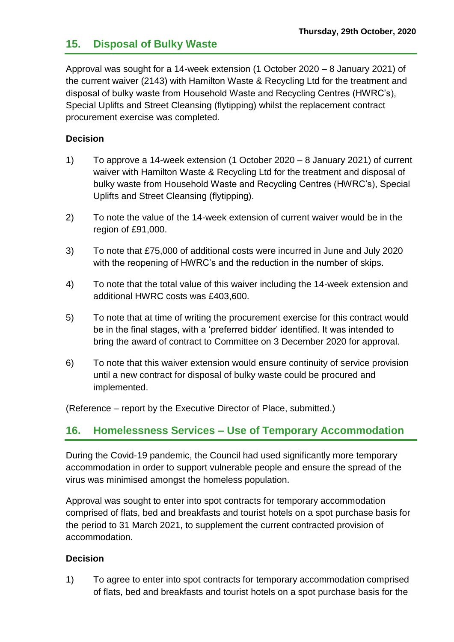# **15. Disposal of Bulky Waste**

Approval was sought for a 14-week extension (1 October 2020 – 8 January 2021) of the current waiver (2143) with Hamilton Waste & Recycling Ltd for the treatment and disposal of bulky waste from Household Waste and Recycling Centres (HWRC's), Special Uplifts and Street Cleansing (flytipping) whilst the replacement contract procurement exercise was completed.

### **Decision**

- 1) To approve a 14-week extension (1 October 2020 8 January 2021) of current waiver with Hamilton Waste & Recycling Ltd for the treatment and disposal of bulky waste from Household Waste and Recycling Centres (HWRC's), Special Uplifts and Street Cleansing (flytipping).
- 2) To note the value of the 14-week extension of current waiver would be in the region of £91,000.
- 3) To note that £75,000 of additional costs were incurred in June and July 2020 with the reopening of HWRC's and the reduction in the number of skips.
- 4) To note that the total value of this waiver including the 14-week extension and additional HWRC costs was £403,600.
- 5) To note that at time of writing the procurement exercise for this contract would be in the final stages, with a 'preferred bidder' identified. It was intended to bring the award of contract to Committee on 3 December 2020 for approval.
- 6) To note that this waiver extension would ensure continuity of service provision until a new contract for disposal of bulky waste could be procured and implemented.

(Reference – report by the Executive Director of Place, submitted.)

# **16. Homelessness Services – Use of Temporary Accommodation**

During the Covid-19 pandemic, the Council had used significantly more temporary accommodation in order to support vulnerable people and ensure the spread of the virus was minimised amongst the homeless population.

Approval was sought to enter into spot contracts for temporary accommodation comprised of flats, bed and breakfasts and tourist hotels on a spot purchase basis for the period to 31 March 2021, to supplement the current contracted provision of accommodation.

### **Decision**

1) To agree to enter into spot contracts for temporary accommodation comprised of flats, bed and breakfasts and tourist hotels on a spot purchase basis for the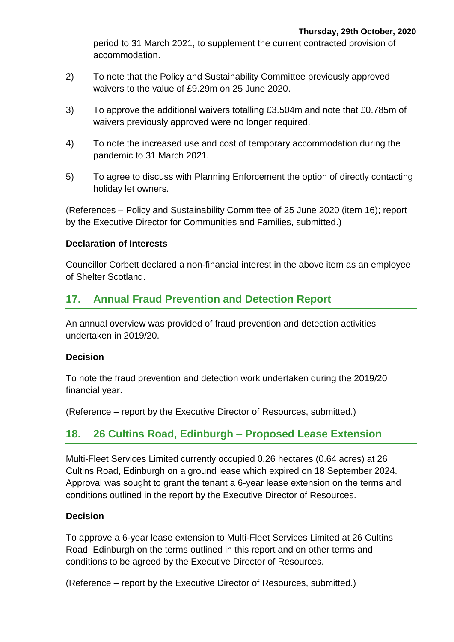period to 31 March 2021, to supplement the current contracted provision of accommodation.

- 2) To note that the Policy and Sustainability Committee previously approved waivers to the value of £9.29m on 25 June 2020.
- 3) To approve the additional waivers totalling £3.504m and note that £0.785m of waivers previously approved were no longer required.
- 4) To note the increased use and cost of temporary accommodation during the pandemic to 31 March 2021.
- 5) To agree to discuss with Planning Enforcement the option of directly contacting holiday let owners.

(References – Policy and Sustainability Committee of 25 June 2020 (item 16); report by the Executive Director for Communities and Families, submitted.)

### **Declaration of Interests**

Councillor Corbett declared a non-financial interest in the above item as an employee of Shelter Scotland.

# **17. Annual Fraud Prevention and Detection Report**

An annual overview was provided of fraud prevention and detection activities undertaken in 2019/20.

### **Decision**

To note the fraud prevention and detection work undertaken during the 2019/20 financial year.

(Reference – report by the Executive Director of Resources, submitted.)

# **18. 26 Cultins Road, Edinburgh – Proposed Lease Extension**

Multi-Fleet Services Limited currently occupied 0.26 hectares (0.64 acres) at 26 Cultins Road, Edinburgh on a ground lease which expired on 18 September 2024. Approval was sought to grant the tenant a 6-year lease extension on the terms and conditions outlined in the report by the Executive Director of Resources.

# **Decision**

To approve a 6-year lease extension to Multi-Fleet Services Limited at 26 Cultins Road, Edinburgh on the terms outlined in this report and on other terms and conditions to be agreed by the Executive Director of Resources.

(Reference – report by the Executive Director of Resources, submitted.)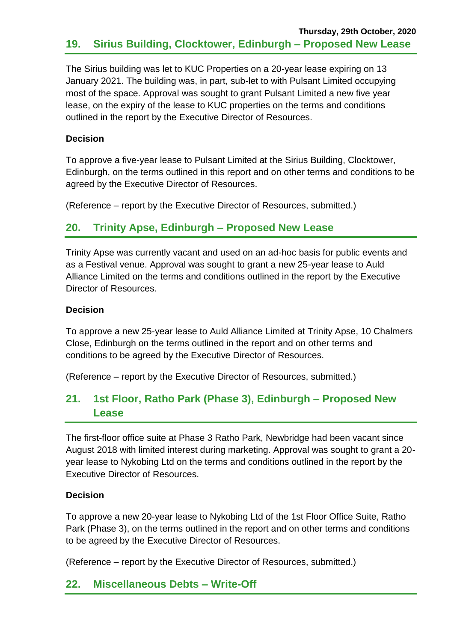The Sirius building was let to KUC Properties on a 20-year lease expiring on 13 January 2021. The building was, in part, sub-let to with Pulsant Limited occupying most of the space. Approval was sought to grant Pulsant Limited a new five year lease, on the expiry of the lease to KUC properties on the terms and conditions outlined in the report by the Executive Director of Resources.

### **Decision**

To approve a five-year lease to Pulsant Limited at the Sirius Building, Clocktower, Edinburgh, on the terms outlined in this report and on other terms and conditions to be agreed by the Executive Director of Resources.

(Reference – report by the Executive Director of Resources, submitted.)

# **20. Trinity Apse, Edinburgh – Proposed New Lease**

Trinity Apse was currently vacant and used on an ad-hoc basis for public events and as a Festival venue. Approval was sought to grant a new 25-year lease to Auld Alliance Limited on the terms and conditions outlined in the report by the Executive Director of Resources.

## **Decision**

To approve a new 25-year lease to Auld Alliance Limited at Trinity Apse, 10 Chalmers Close, Edinburgh on the terms outlined in the report and on other terms and conditions to be agreed by the Executive Director of Resources.

(Reference – report by the Executive Director of Resources, submitted.)

# **21. 1st Floor, Ratho Park (Phase 3), Edinburgh – Proposed New Lease**

The first-floor office suite at Phase 3 Ratho Park, Newbridge had been vacant since August 2018 with limited interest during marketing. Approval was sought to grant a 20 year lease to Nykobing Ltd on the terms and conditions outlined in the report by the Executive Director of Resources.

### **Decision**

To approve a new 20-year lease to Nykobing Ltd of the 1st Floor Office Suite, Ratho Park (Phase 3), on the terms outlined in the report and on other terms and conditions to be agreed by the Executive Director of Resources.

(Reference – report by the Executive Director of Resources, submitted.)

# **22. Miscellaneous Debts – Write-Off**